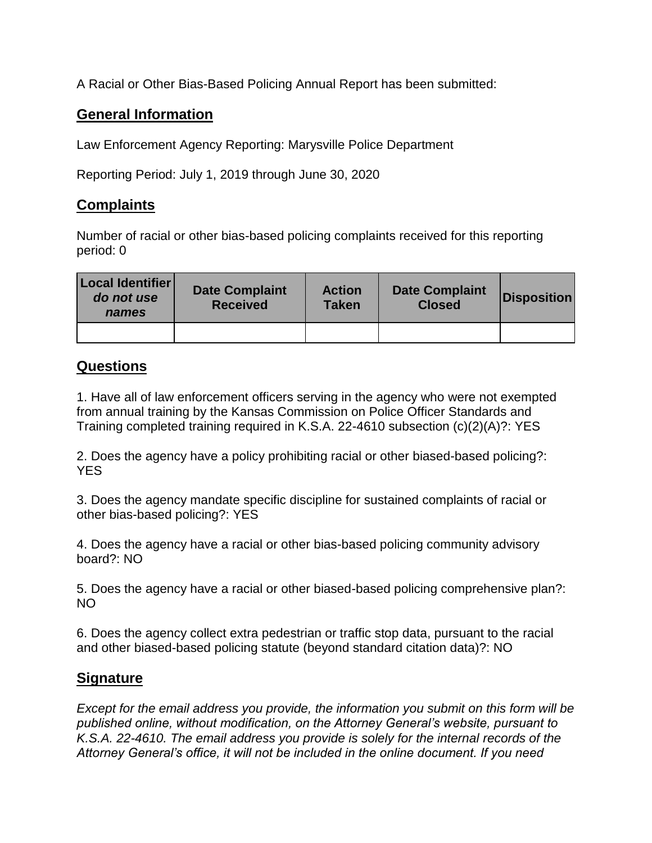A Racial or Other Bias-Based Policing Annual Report has been submitted:

## **General Information**

Law Enforcement Agency Reporting: Marysville Police Department

Reporting Period: July 1, 2019 through June 30, 2020

## **Complaints**

Number of racial or other bias-based policing complaints received for this reporting period: 0

| Local Identifier<br>do not use<br>names | <b>Date Complaint</b><br><b>Received</b> | <b>Action</b><br><b>Taken</b> | <b>Date Complaint</b><br><b>Closed</b> | <b>Disposition</b> |
|-----------------------------------------|------------------------------------------|-------------------------------|----------------------------------------|--------------------|
|                                         |                                          |                               |                                        |                    |

## **Questions**

1. Have all of law enforcement officers serving in the agency who were not exempted from annual training by the Kansas Commission on Police Officer Standards and Training completed training required in K.S.A. 22-4610 subsection (c)(2)(A)?: YES

2. Does the agency have a policy prohibiting racial or other biased-based policing?: YES

3. Does the agency mandate specific discipline for sustained complaints of racial or other bias-based policing?: YES

4. Does the agency have a racial or other bias-based policing community advisory board?: NO

5. Does the agency have a racial or other biased-based policing comprehensive plan?: NO

6. Does the agency collect extra pedestrian or traffic stop data, pursuant to the racial and other biased-based policing statute (beyond standard citation data)?: NO

## **Signature**

*Except for the email address you provide, the information you submit on this form will be published online, without modification, on the Attorney General's website, pursuant to K.S.A. 22-4610. The email address you provide is solely for the internal records of the Attorney General's office, it will not be included in the online document. If you need*